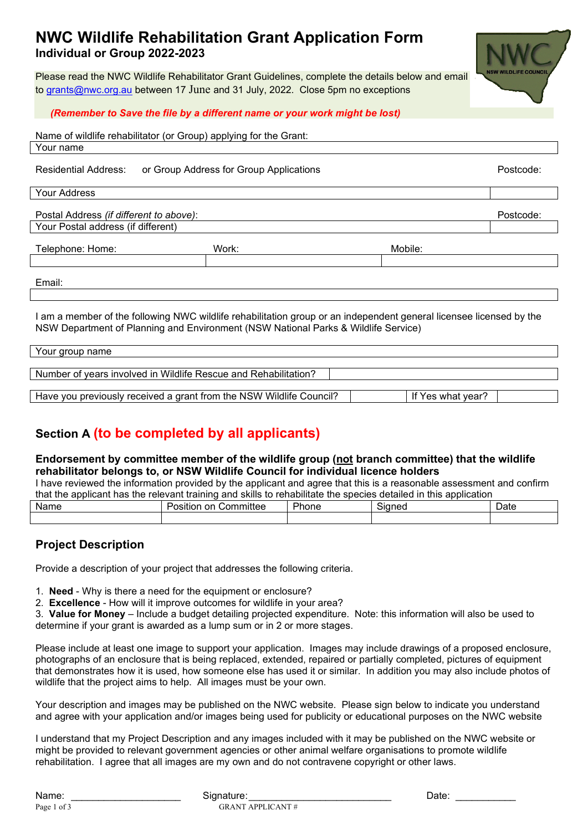## **NWC Wildlife Rehabilitation Grant Application Form Individual or Group 2022-2023**

Please read the NWC Wildlife Rehabilitator Grant Guidelines, complete the details below and email to [grants@nwc.org.au](mailto:grants@nwc.org.au) between 17 June and 31 July, 2022. Close 5pm no exceptions



Name of wildlife rehabilitator (or Group) applying for the Grant: Your name

Residential Address: or Group Address for Group Applications **Postcode:** Postcode:

| Your Address |
|--------------|
|              |

Postal Address *(if different to above)*: Postcode: Your Postal address (if different)

Telephone: Home: North Mobile: Mork: North Mobile: Mobile: Mobile: Mobile: North Mobile: North Mobile: North Mobile: North Mobile: North Mobile: North Mobile: North Mobile: North Mobile: North Mobile: North Mobile: North M

Email:

I am a member of the following NWC wildlife rehabilitation group or an independent general licensee licensed by the NSW Department of Planning and Environment (NSW National Parks & Wildlife Service)

| Your group name                                                     |                   |
|---------------------------------------------------------------------|-------------------|
|                                                                     |                   |
| Number of years involved in Wildlife Rescue and Rehabilitation?     |                   |
|                                                                     |                   |
| Have you previously received a grant from the NSW Wildlife Council? | If Yes what year? |

# **Section A (to be completed by all applicants)**

#### **Endorsement by committee member of the wildlife group (not branch committee) that the wildlife rehabilitator belongs to, or NSW Wildlife Council for individual licence holders**

I have reviewed the information provided by the applicant and agree that this is a reasonable assessment and confirm that the applicant has the relevant training and skills to rehabilitate the species detailed in this application

| Name | nn<br>nmittee<br>I<br>.nr<br>sition<br> | DL.<br>hone | <u>.</u><br>siane <sup>,</sup> | -<br>Date |
|------|-----------------------------------------|-------------|--------------------------------|-----------|
|      |                                         |             |                                |           |

### **Project Description**

Provide a description of your project that addresses the following criteria.

1. **Need** - Why is there a need for the equipment or enclosure?

2. **Excellence** - How will it improve outcomes for wildlife in your area?

3. **Value for Money** – Include a budget detailing projected expenditure. Note: this information will also be used to determine if your grant is awarded as a lump sum or in 2 or more stages.

Please include at least one image to support your application. Images may include drawings of a proposed enclosure, photographs of an enclosure that is being replaced, extended, repaired or partially completed, pictures of equipment that demonstrates how it is used, how someone else has used it or similar. In addition you may also include photos of wildlife that the project aims to help. All images must be your own.

Your description and images may be published on the NWC website. Please sign below to indicate you understand and agree with your application and/or images being used for publicity or educational purposes on the NWC website

I understand that my Project Description and any images included with it may be published on the NWC website or might be provided to relevant government agencies or other animal welfare organisations to promote wildlife rehabilitation. I agree that all images are my own and do not contravene copyright or other laws.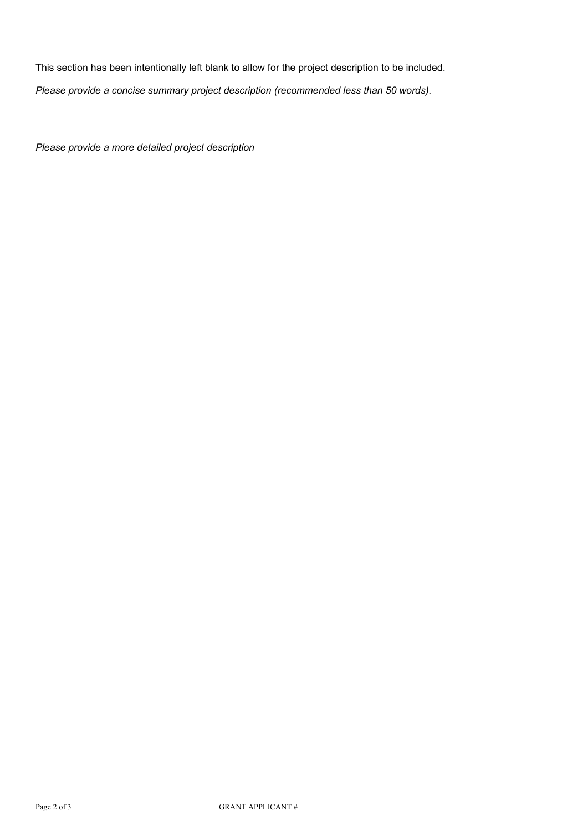This section has been intentionally left blank to allow for the project description to be included.

*Please provide a concise summary project description (recommended less than 50 words).*

*Please provide a more detailed project description*